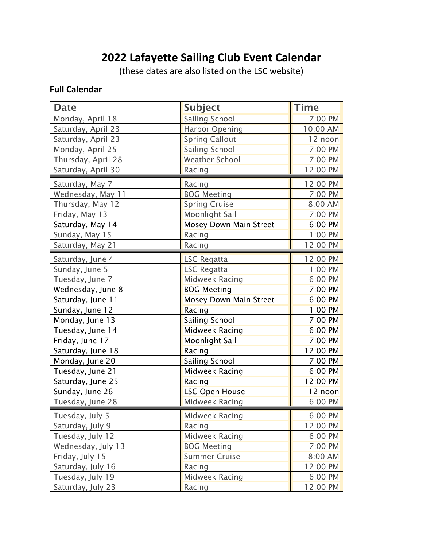# **2022 Lafayette Sailing Club Event Calendar**

(these dates are also listed on the LSC website)

### **Full Calendar**

| <b>Date</b>        | <b>Subject</b>         | <b>Time</b> |
|--------------------|------------------------|-------------|
| Monday, April 18   | Sailing School         | 7:00 PM     |
| Saturday, April 23 | <b>Harbor Opening</b>  | 10:00 AM    |
| Saturday, April 23 | <b>Spring Callout</b>  | 12 noon     |
| Monday, April 25   | Sailing School         | 7:00 PM     |
| Thursday, April 28 | <b>Weather School</b>  | 7:00 PM     |
| Saturday, April 30 | Racing                 | 12:00 PM    |
| Saturday, May 7    | Racing                 | 12:00 PM    |
| Wednesday, May 11  | <b>BOG Meeting</b>     | 7:00 PM     |
| Thursday, May 12   | <b>Spring Cruise</b>   | 8:00 AM     |
| Friday, May 13     | Moonlight Sail         | 7:00 PM     |
| Saturday, May 14   | Mosey Down Main Street | 6:00 PM     |
| Sunday, May 15     | Racing                 | 1:00 PM     |
| Saturday, May 21   | Racing                 | 12:00 PM    |
| Saturday, June 4   | <b>LSC Regatta</b>     | 12:00 PM    |
| Sunday, June 5     | <b>LSC Regatta</b>     | 1:00 PM     |
| Tuesday, June 7    | Midweek Racing         | 6:00 PM     |
| Wednesday, June 8  | <b>BOG Meeting</b>     | 7:00 PM     |
| Saturday, June 11  | Mosey Down Main Street | 6:00 PM     |
| Sunday, June 12    | Racing                 | 1:00 PM     |
| Monday, June 13    | Sailing School         | 7:00 PM     |
| Tuesday, June 14   | Midweek Racing         | 6:00 PM     |
| Friday, June 17    | <b>Moonlight Sail</b>  | 7:00 PM     |
| Saturday, June 18  | Racing                 | 12:00 PM    |
| Monday, June 20    | Sailing School         | 7:00 PM     |
| Tuesday, June 21   | <b>Midweek Racing</b>  | 6:00 PM     |
| Saturday, June 25  | Racing                 | 12:00 PM    |
| Sunday, June 26    | <b>LSC Open House</b>  | 12 noon     |
| Tuesday, June 28   | Midweek Racing         | 6:00 PM     |
| Tuesday, July 5    | Midweek Racing         | 6:00 PM     |
| Saturday, July 9   | Racing                 | 12:00 PM    |
| Tuesday, July 12   | Midweek Racing         | 6:00 PM     |
| Wednesday, July 13 | <b>BOG Meeting</b>     | 7:00 PM     |
| Friday, July 15    | <b>Summer Cruise</b>   | 8:00 AM     |
| Saturday, July 16  | Racing                 | 12:00 PM    |
| Tuesday, July 19   | <b>Midweek Racing</b>  | 6:00 PM     |
| Saturday, July 23  | Racing                 | 12:00 PM    |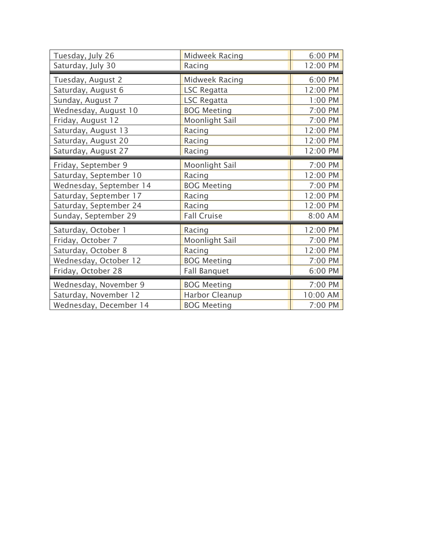| Tuesday, July 26        | Midweek Racing        | 6:00 PM  |
|-------------------------|-----------------------|----------|
| Saturday, July 30       | Racing                | 12:00 PM |
| Tuesday, August 2       | Midweek Racing        | 6:00 PM  |
| Saturday, August 6      | <b>LSC Regatta</b>    | 12:00 PM |
|                         |                       | 1:00 PM  |
| Sunday, August 7        | <b>LSC Regatta</b>    |          |
| Wednesday, August 10    | <b>BOG Meeting</b>    | 7:00 PM  |
| Friday, August 12       | Moonlight Sail        | 7:00 PM  |
| Saturday, August 13     | Racing                | 12:00 PM |
| Saturday, August 20     | Racing                | 12:00 PM |
| Saturday, August 27     | Racing                | 12:00 PM |
| Friday, September 9     | <b>Moonlight Sail</b> | 7:00 PM  |
| Saturday, September 10  | Racing                | 12:00 PM |
| Wednesday, September 14 | <b>BOG Meeting</b>    | 7:00 PM  |
| Saturday, September 17  | Racing                | 12:00 PM |
| Saturday, September 24  | Racing                | 12:00 PM |
| Sunday, September 29    | <b>Fall Cruise</b>    | 8:00 AM  |
| Saturday, October 1     | Racing                | 12:00 PM |
| Friday, October 7       | <b>Moonlight Sail</b> | 7:00 PM  |
| Saturday, October 8     | Racing                | 12:00 PM |
| Wednesday, October 12   | <b>BOG Meeting</b>    | 7:00 PM  |
| Friday, October 28      | <b>Fall Banquet</b>   | 6:00 PM  |
| Wednesday, November 9   | <b>BOG Meeting</b>    | 7:00 PM  |
| Saturday, November 12   | <b>Harbor Cleanup</b> | 10:00 AM |
| Wednesday, December 14  | <b>BOG Meeting</b>    | 7:00 PM  |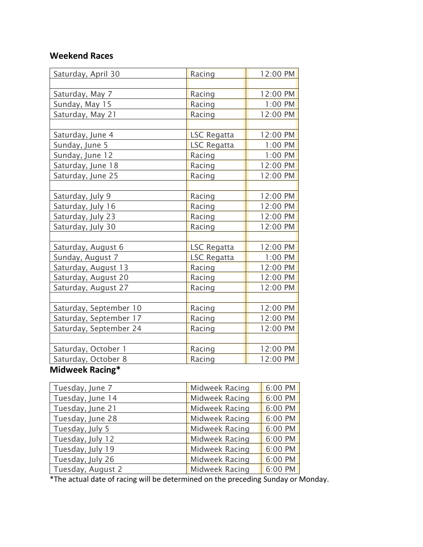### **Weekend Races**

| Saturday, April 30     | Racing             | 12:00 PM |
|------------------------|--------------------|----------|
|                        |                    |          |
| Saturday, May 7        | Racing             | 12:00 PM |
| Sunday, May 15         | Racing             | 1:00 PM  |
| Saturday, May 21       | Racing             | 12:00 PM |
|                        |                    |          |
| Saturday, June 4       | <b>LSC Regatta</b> | 12:00 PM |
| Sunday, June 5         | <b>LSC Regatta</b> | 1:00 PM  |
| Sunday, June 12        | Racing             | 1:00 PM  |
| Saturday, June 18      | Racing             | 12:00 PM |
| Saturday, June 25      | Racing             | 12:00 PM |
|                        |                    |          |
| Saturday, July 9       | Racing             | 12:00 PM |
| Saturday, July 16      | Racing             | 12:00 PM |
| Saturday, July 23      | Racing             | 12:00 PM |
| Saturday, July 30      | Racing             | 12:00 PM |
|                        |                    |          |
| Saturday, August 6     | <b>LSC Regatta</b> | 12:00 PM |
| Sunday, August 7       | <b>LSC Regatta</b> | 1:00 PM  |
| Saturday, August 13    | Racing             | 12:00 PM |
| Saturday, August 20    | Racing             | 12:00 PM |
| Saturday, August 27    | Racing             | 12:00 PM |
|                        |                    |          |
| Saturday, September 10 | Racing             | 12:00 PM |
| Saturday, September 17 | Racing             | 12:00 PM |
| Saturday, September 24 | Racing             | 12:00 PM |
|                        |                    |          |
| Saturday, October 1    | Racing             | 12:00 PM |
| Saturday, October 8    | Racing             | 12:00 PM |

### **Midweek Racing\***

| Tuesday, June 7   | <b>Midweek Racing</b> | 6:00 PM |
|-------------------|-----------------------|---------|
| Tuesday, June 14  | <b>Midweek Racing</b> | 6:00 PM |
| Tuesday, June 21  | <b>Midweek Racing</b> | 6:00 PM |
| Tuesday, June 28  | <b>Midweek Racing</b> | 6:00 PM |
| Tuesday, July 5   | <b>Midweek Racing</b> | 6:00 PM |
| Tuesday, July 12  | <b>Midweek Racing</b> | 6:00 PM |
| Tuesday, July 19  | <b>Midweek Racing</b> | 6:00 PM |
| Tuesday, July 26  | <b>Midweek Racing</b> | 6:00 PM |
| Tuesday, August 2 | <b>Midweek Racing</b> | 6:00 PM |

\*The actual date of racing will be determined on the preceding Sunday or Monday.